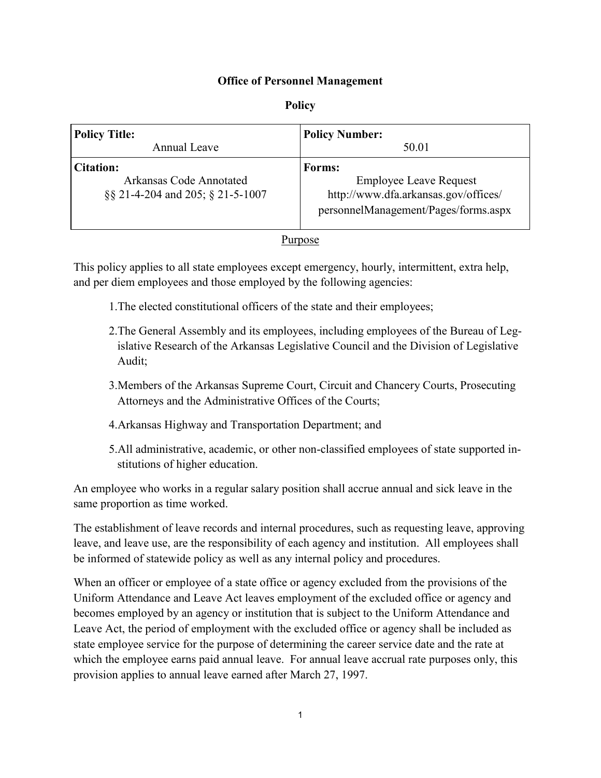## **Office of Personnel Management**

| ×  |  |
|----|--|
| ۰. |  |
|    |  |

| <b>Policy Title:</b>                                                            | <b>Policy Number:</b>                                                                                                          |  |
|---------------------------------------------------------------------------------|--------------------------------------------------------------------------------------------------------------------------------|--|
| Annual Leave                                                                    | 50.01                                                                                                                          |  |
| <b>Citation:</b><br>Arkansas Code Annotated<br>§§ 21-4-204 and 205; § 21-5-1007 | <b>Forms:</b><br><b>Employee Leave Request</b><br>http://www.dfa.arkansas.gov/offices/<br>personnelManagement/Pages/forms.aspx |  |

## Purpose

This policy applies to all state employees except emergency, hourly, intermittent, extra help, and per diem employees and those employed by the following agencies:

- 1.The elected constitutional officers of the state and their employees;
- 2.The General Assembly and its employees, including employees of the Bureau of Legislative Research of the Arkansas Legislative Council and the Division of Legislative Audit;
- 3.Members of the Arkansas Supreme Court, Circuit and Chancery Courts, Prosecuting Attorneys and the Administrative Offices of the Courts;
- 4.Arkansas Highway and Transportation Department; and
- 5.All administrative, academic, or other non-classified employees of state supported institutions of higher education.

An employee who works in a regular salary position shall accrue annual and sick leave in the same proportion as time worked.

The establishment of leave records and internal procedures, such as requesting leave, approving leave, and leave use, are the responsibility of each agency and institution. All employees shall be informed of statewide policy as well as any internal policy and procedures.

When an officer or employee of a state office or agency excluded from the provisions of the Uniform Attendance and Leave Act leaves employment of the excluded office or agency and becomes employed by an agency or institution that is subject to the Uniform Attendance and Leave Act, the period of employment with the excluded office or agency shall be included as state employee service for the purpose of determining the career service date and the rate at which the employee earns paid annual leave. For annual leave accrual rate purposes only, this provision applies to annual leave earned after March 27, 1997.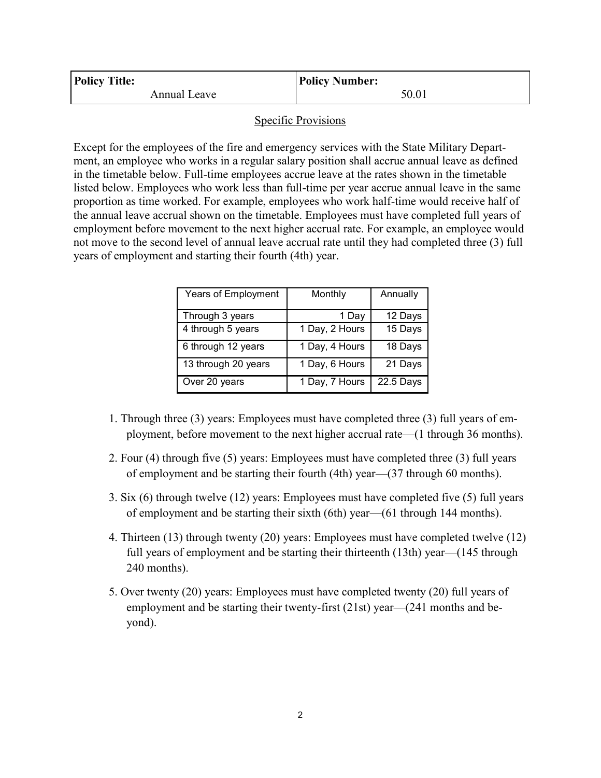| <b>Policy Title:</b> | <b>Policy Number:</b> |
|----------------------|-----------------------|
| Annual Leave         | 50.01                 |

## Specific Provisions

Except for the employees of the fire and emergency services with the State Military Department, an employee who works in a regular salary position shall accrue annual leave as defined in the timetable below. Full-time employees accrue leave at the rates shown in the timetable listed below. Employees who work less than full-time per year accrue annual leave in the same proportion as time worked. For example, employees who work half-time would receive half of the annual leave accrual shown on the timetable. Employees must have completed full years of employment before movement to the next higher accrual rate. For example, an employee would not move to the second level of annual leave accrual rate until they had completed three (3) full years of employment and starting their fourth (4th) year.

| Years of Employment | Monthly        | Annually  |
|---------------------|----------------|-----------|
| Through 3 years     | 1 Day          | 12 Days   |
| 4 through 5 years   | 1 Day, 2 Hours | 15 Days   |
| 6 through 12 years  | 1 Day, 4 Hours | 18 Days   |
| 13 through 20 years | 1 Day, 6 Hours | 21 Days   |
| Over 20 years       | 1 Day, 7 Hours | 22.5 Days |

- 1. Through three (3) years: Employees must have completed three (3) full years of employment, before movement to the next higher accrual rate—(1 through 36 months).
- 2. Four (4) through five (5) years: Employees must have completed three (3) full years of employment and be starting their fourth (4th) year—(37 through 60 months).
- 3. Six (6) through twelve (12) years: Employees must have completed five (5) full years of employment and be starting their sixth (6th) year—(61 through 144 months).
- 4. Thirteen (13) through twenty (20) years: Employees must have completed twelve (12) full years of employment and be starting their thirteenth (13th) year—(145 through 240 months).
- 5. Over twenty (20) years: Employees must have completed twenty (20) full years of employment and be starting their twenty-first (21st) year—(241 months and beyond).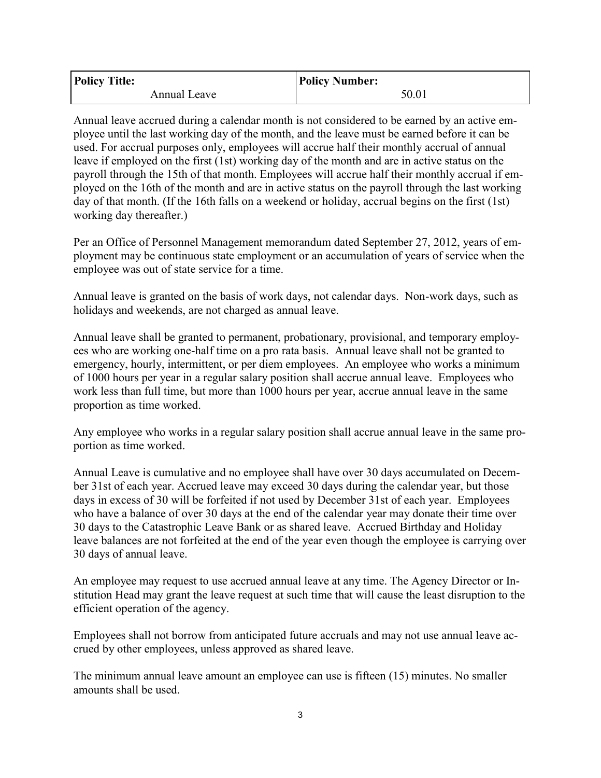| <b>Policy Title:</b> | <b>Policy Number:</b> |
|----------------------|-----------------------|
| Annual Leave         | 50.01                 |

Annual leave accrued during a calendar month is not considered to be earned by an active employee until the last working day of the month, and the leave must be earned before it can be used. For accrual purposes only, employees will accrue half their monthly accrual of annual leave if employed on the first (1st) working day of the month and are in active status on the payroll through the 15th of that month. Employees will accrue half their monthly accrual if employed on the 16th of the month and are in active status on the payroll through the last working day of that month. (If the 16th falls on a weekend or holiday, accrual begins on the first (1st) working day thereafter.)

Per an Office of Personnel Management memorandum dated September 27, 2012, years of employment may be continuous state employment or an accumulation of years of service when the employee was out of state service for a time.

Annual leave is granted on the basis of work days, not calendar days. Non-work days, such as holidays and weekends, are not charged as annual leave.

Annual leave shall be granted to permanent, probationary, provisional, and temporary employees who are working one-half time on a pro rata basis. Annual leave shall not be granted to emergency, hourly, intermittent, or per diem employees. An employee who works a minimum of 1000 hours per year in a regular salary position shall accrue annual leave. Employees who work less than full time, but more than 1000 hours per year, accrue annual leave in the same proportion as time worked.

Any employee who works in a regular salary position shall accrue annual leave in the same proportion as time worked.

Annual Leave is cumulative and no employee shall have over 30 days accumulated on December 31st of each year. Accrued leave may exceed 30 days during the calendar year, but those days in excess of 30 will be forfeited if not used by December 31st of each year. Employees who have a balance of over 30 days at the end of the calendar year may donate their time over 30 days to the Catastrophic Leave Bank or as shared leave. Accrued Birthday and Holiday leave balances are not forfeited at the end of the year even though the employee is carrying over 30 days of annual leave.

An employee may request to use accrued annual leave at any time. The Agency Director or Institution Head may grant the leave request at such time that will cause the least disruption to the efficient operation of the agency.

Employees shall not borrow from anticipated future accruals and may not use annual leave accrued by other employees, unless approved as shared leave.

The minimum annual leave amount an employee can use is fifteen (15) minutes. No smaller amounts shall be used.